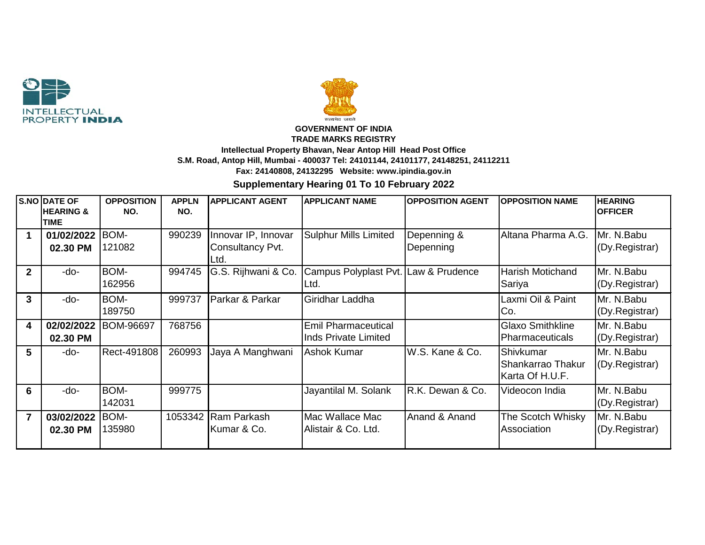



## **GOVERNMENT OF INDIA TRADE MARKS REGISTRY Intellectual Property Bhavan, Near Antop Hill Head Post Office S.M. Road, Antop Hill, Mumbai - 400037 Tel: 24101144, 24101177, 24148251, 24112211 Fax: 24140808, 24132295 Website: www.ipindia.gov.in**

**Supplementary Hearing 01 To 10 February 2022**

|                         | <b>S.NO DATE OF</b><br><b>HEARING &amp;</b> | <b>OPPOSITION</b><br>NO. | <b>APPLN</b><br>NO. | <b>APPLICANT AGENT</b>  | <b>APPLICANT NAME</b>                | <b>OPPOSITION AGENT</b> | <b>OPPOSITION NAME</b>  | <b>HEARING</b><br><b>OFFICER</b> |
|-------------------------|---------------------------------------------|--------------------------|---------------------|-------------------------|--------------------------------------|-------------------------|-------------------------|----------------------------------|
|                         | <b>TIME</b>                                 |                          |                     |                         |                                      |                         |                         |                                  |
| 1                       | 01/02/2022                                  | BOM-                     | 990239              | Innovar IP, Innovar     | <b>Sulphur Mills Limited</b>         | Depenning &             | Altana Pharma A.G.      | Mr. N.Babu                       |
|                         | 02.30 PM                                    | 121082                   |                     | <b>Consultancy Pvt.</b> |                                      | Depenning               |                         | (Dy.Registrar)                   |
|                         |                                             |                          |                     | Ltd.                    |                                      |                         |                         |                                  |
| $\mathbf{2}$            | $-do-$                                      | BOM-                     | 994745              | G.S. Rijhwani & Co.     | Campus Polyplast Pvt. Law & Prudence |                         | <b>Harish Motichand</b> | Mr. N.Babu                       |
|                         |                                             | 162956                   |                     |                         | Ltd.                                 |                         | Sariya                  | (Dy.Registrar)                   |
| 3                       | $-do-$                                      | BOM-                     | 999737              | Parkar & Parkar         | Giridhar Laddha                      |                         | Laxmi Oil & Paint       | Mr. N.Babu                       |
|                         |                                             | 189750                   |                     |                         |                                      |                         | Co.                     | (Dy.Registrar)                   |
| $\overline{\mathbf{4}}$ | 02/02/2022                                  | BOM-96697                | 768756              |                         | <b>Emil Pharmaceutical</b>           |                         | <b>Glaxo Smithkline</b> | Mr. N.Babu                       |
|                         | 02.30 PM                                    |                          |                     |                         | <b>Inds Private Limited</b>          |                         | <b>Pharmaceuticals</b>  | (Dy.Registrar)                   |
| 5                       | $-do-$                                      | Rect-491808              | 260993              | Jaya A Manghwani        | <b>Ashok Kumar</b>                   | W.S. Kane & Co.         | IShivkumar              | Mr. N.Babu                       |
|                         |                                             |                          |                     |                         |                                      |                         | Shankarrao Thakur       | (Dy.Registrar)                   |
|                         |                                             |                          |                     |                         |                                      |                         | Karta Of H.U.F.         |                                  |
| 6                       | $-do-$                                      | BOM-                     | 999775              |                         | Jayantilal M. Solank                 | R.K. Dewan & Co.        | Videocon India          | Mr. N.Babu                       |
|                         |                                             | 142031                   |                     |                         |                                      |                         |                         | (Dy.Registrar)                   |
| $\overline{7}$          | 03/02/2022                                  | BOM-                     | 1053342             | <b>IRam Parkash</b>     | Mac Wallace Mac                      | Anand & Anand           | The Scotch Whisky       | Mr. N.Babu                       |
|                         | 02.30 PM                                    | 135980                   |                     | Kumar & Co.             | Alistair & Co. Ltd.                  |                         | Association             | (Dy.Registrar)                   |
|                         |                                             |                          |                     |                         |                                      |                         |                         |                                  |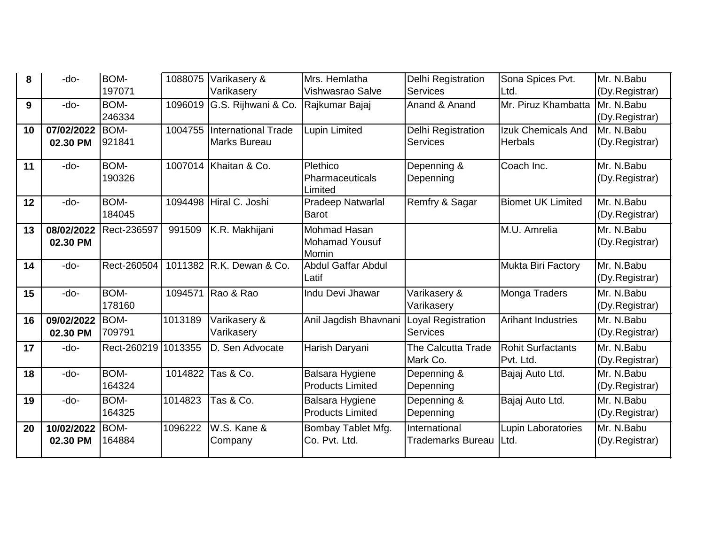| 8  | -do-       | BOM-        | 1088075 | Varikasery &                | Mrs. Hemlatha                  | <b>Delhi Registration</b> | Sona Spices Pvt.          | Mr. N.Babu     |
|----|------------|-------------|---------|-----------------------------|--------------------------------|---------------------------|---------------------------|----------------|
|    |            | 197071      |         | Varikasery                  | Vishwasrao Salve               | <b>Services</b>           | Ltd.                      | (Dy.Registrar) |
| 9  | -do-       | BOM-        | 1096019 | G.S. Rijhwani & Co.         | Rajkumar Bajaj                 | Anand & Anand             | Mr. Piruz Khambatta       | Mr. N.Babu     |
|    |            | 246334      |         |                             |                                |                           |                           | (Dy.Registrar) |
| 10 | 07/02/2022 | BOM-        |         | 1004755 International Trade | Lupin Limited                  | <b>Delhi Registration</b> | Izuk Chemicals And        | Mr. N.Babu     |
|    | 02.30 PM   | 921841      |         | Marks Bureau                |                                | <b>Services</b>           | <b>Herbals</b>            | (Dy.Registrar) |
| 11 | -do-       | BOM-        |         | 1007014 Khaitan & Co.       | Plethico                       | Depenning &               | Coach Inc.                | Mr. N.Babu     |
|    |            | 190326      |         |                             | <b>Pharmaceuticals</b>         | Depenning                 |                           | (Dy.Registrar) |
|    |            |             |         |                             | Limited                        |                           |                           |                |
| 12 | -do-       | BOM-        |         | 1094498 Hiral C. Joshi      | Pradeep Natwarlal              | Remfry & Sagar            | <b>Biomet UK Limited</b>  | Mr. N.Babu     |
|    |            | 184045      |         |                             | <b>Barot</b>                   |                           |                           | (Dy.Registrar) |
| 13 | 08/02/2022 | Rect-236597 | 991509  | K.R. Makhijani              | Mohmad Hasan                   |                           | M.U. Amrelia              | Mr. N.Babu     |
|    | 02.30 PM   |             |         |                             | <b>Mohamad Yousuf</b><br>Momin |                           |                           | (Dy.Registrar) |
| 14 | -do-       | Rect-260504 |         | 1011382 R.K. Dewan & Co.    | <b>Abdul Gaffar Abdul</b>      |                           | Mukta Biri Factory        | Mr. N.Babu     |
|    |            |             |         |                             | Latif                          |                           |                           | (Dy.Registrar) |
| 15 | $-do-$     | BOM-        | 1094571 | Rao & Rao                   | Indu Devi Jhawar               | Varikasery &              | Monga Traders             | Mr. N.Babu     |
|    |            | 178160      |         |                             |                                | Varikasery                |                           | (Dy.Registrar) |
| 16 | 09/02/2022 | BOM-        | 1013189 | Varikasery &                | Anil Jagdish Bhavnani          | Loyal Registration        | <b>Arihant Industries</b> | Mr. N.Babu     |
|    | 02.30 PM   | 709791      |         | Varikasery                  |                                | <b>Services</b>           |                           | (Dy.Registrar) |
| 17 | -do-       | Rect-260219 | 1013355 | D. Sen Advocate             | Harish Daryani                 | <b>The Calcutta Trade</b> | <b>Rohit Surfactants</b>  | Mr. N.Babu     |
|    |            |             |         |                             |                                | Mark Co.                  | Pvt. Ltd.                 | (Dy.Registrar) |
| 18 | -do-       | BOM-        | 1014822 | Tas & Co.                   | <b>Balsara Hygiene</b>         | Depenning &               | Bajaj Auto Ltd.           | Mr. N.Babu     |
|    |            | 164324      |         |                             | <b>Products Limited</b>        | Depenning                 |                           | (Dy.Registrar) |
| 19 | -do-       | BOM-        | 1014823 | Tas & Co.                   | <b>Balsara Hygiene</b>         | Depenning &               | Bajaj Auto Ltd.           | Mr. N.Babu     |
|    |            | 164325      |         |                             | <b>Products Limited</b>        | Depenning                 |                           | (Dy.Registrar) |
| 20 | 10/02/2022 | BOM-        | 1096222 | W.S. Kane &                 | Bombay Tablet Mfg.             | International             | Lupin Laboratories        | Mr. N.Babu     |
|    | 02.30 PM   | 164884      |         | Company                     | Co. Pvt. Ltd.                  | <b>Trademarks Bureau</b>  | Ltd.                      | (Dy.Registrar) |
|    |            |             |         |                             |                                |                           |                           |                |